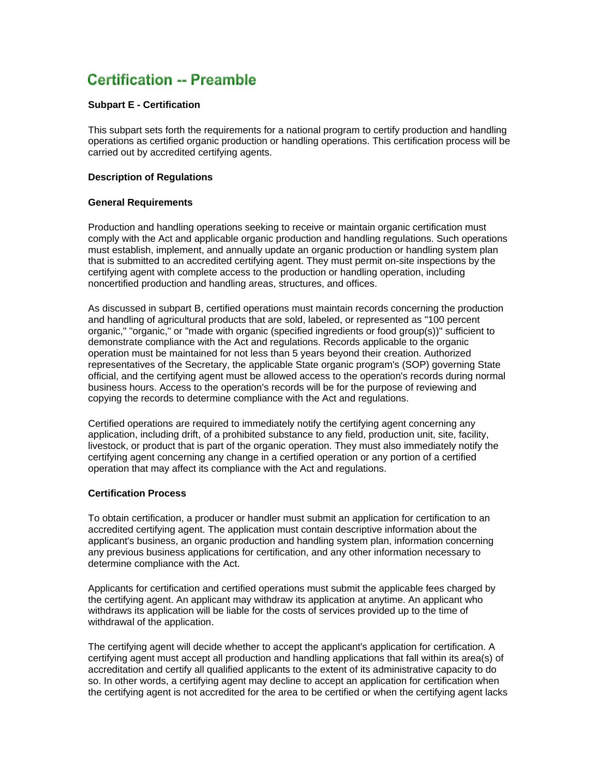# **Certification -- Preamble**

## **Subpart E - Certification**

This subpart sets forth the requirements for a national program to certify production and handling operations as certified organic production or handling operations. This certification process will be carried out by accredited certifying agents.

## **Description of Regulations**

## **General Requirements**

Production and handling operations seeking to receive or maintain organic certification must comply with the Act and applicable organic production and handling regulations. Such operations must establish, implement, and annually update an organic production or handling system plan that is submitted to an accredited certifying agent. They must permit on-site inspections by the certifying agent with complete access to the production or handling operation, including noncertified production and handling areas, structures, and offices.

As discussed in subpart B, certified operations must maintain records concerning the production and handling of agricultural products that are sold, labeled, or represented as "100 percent organic," "organic," or "made with organic (specified ingredients or food group(s))" sufficient to demonstrate compliance with the Act and regulations. Records applicable to the organic operation must be maintained for not less than 5 years beyond their creation. Authorized representatives of the Secretary, the applicable State organic program's (SOP) governing State official, and the certifying agent must be allowed access to the operation's records during normal business hours. Access to the operation's records will be for the purpose of reviewing and copying the records to determine compliance with the Act and regulations.

Certified operations are required to immediately notify the certifying agent concerning any application, including drift, of a prohibited substance to any field, production unit, site, facility, livestock, or product that is part of the organic operation. They must also immediately notify the certifying agent concerning any change in a certified operation or any portion of a certified operation that may affect its compliance with the Act and regulations.

## **Certification Process**

To obtain certification, a producer or handler must submit an application for certification to an accredited certifying agent. The application must contain descriptive information about the applicant's business, an organic production and handling system plan, information concerning any previous business applications for certification, and any other information necessary to determine compliance with the Act.

Applicants for certification and certified operations must submit the applicable fees charged by the certifying agent. An applicant may withdraw its application at anytime. An applicant who withdraws its application will be liable for the costs of services provided up to the time of withdrawal of the application.

The certifying agent will decide whether to accept the applicant's application for certification. A certifying agent must accept all production and handling applications that fall within its area(s) of accreditation and certify all qualified applicants to the extent of its administrative capacity to do so. In other words, a certifying agent may decline to accept an application for certification when the certifying agent is not accredited for the area to be certified or when the certifying agent lacks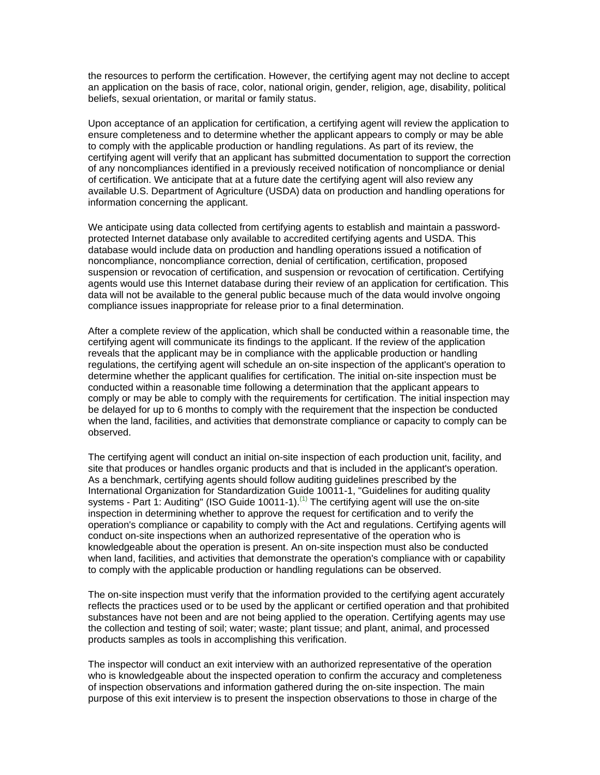the resources to perform the certification. However, the certifying agent may not decline to accept an application on the basis of race, color, national origin, gender, religion, age, disability, political beliefs, sexual orientation, or marital or family status.

Upon acceptance of an application for certification, a certifying agent will review the application to ensure completeness and to determine whether the applicant appears to comply or may be able to comply with the applicable production or handling regulations. As part of its review, the certifying agent will verify that an applicant has submitted documentation to support the correction of any noncompliances identified in a previously received notification of noncompliance or denial of certification. We anticipate that at a future date the certifying agent will also review any available U.S. Department of Agriculture (USDA) data on production and handling operations for information concerning the applicant.

We anticipate using data collected from certifying agents to establish and maintain a passwordprotected Internet database only available to accredited certifying agents and USDA. This database would include data on production and handling operations issued a notification of noncompliance, noncompliance correction, denial of certification, certification, proposed suspension or revocation of certification, and suspension or revocation of certification. Certifying agents would use this Internet database during their review of an application for certification. This data will not be available to the general public because much of the data would involve ongoing compliance issues inappropriate for release prior to a final determination.

After a complete review of the application, which shall be conducted within a reasonable time, the certifying agent will communicate its findings to the applicant. If the review of the application reveals that the applicant may be in compliance with the applicable production or handling regulations, the certifying agent will schedule an on-site inspection of the applicant's operation to determine whether the applicant qualifies for certification. The initial on-site inspection must be conducted within a reasonable time following a determination that the applicant appears to comply or may be able to comply with the requirements for certification. The initial inspection may be delayed for up to 6 months to comply with the requirement that the inspection be conducted when the land, facilities, and activities that demonstrate compliance or capacity to comply can be observed.

The certifying agent will conduct an initial on-site inspection of each production unit, facility, and site that produces or handles organic products and that is included in the applicant's operation. As a benchmark, certifying agents should follow auditing guidelines prescribed by the International Organization for Standardization Guide 10011-1, "Guidelines for auditing quality systems - Part 1: Auditing" (ISO Guide 10011-1).<sup>(1)</sup> The certifying agent will use the on-site inspection in determining whether to approve the request for certification and to verify the operation's compliance or capability to comply with the Act and regulations. Certifying agents will conduct on-site inspections when an authorized representative of the operation who is knowledgeable about the operation is present. An on-site inspection must also be conducted when land, facilities, and activities that demonstrate the operation's compliance with or capability to comply with the applicable production or handling regulations can be observed.

The on-site inspection must verify that the information provided to the certifying agent accurately reflects the practices used or to be used by the applicant or certified operation and that prohibited substances have not been and are not being applied to the operation. Certifying agents may use the collection and testing of soil; water; waste; plant tissue; and plant, animal, and processed products samples as tools in accomplishing this verification.

The inspector will conduct an exit interview with an authorized representative of the operation who is knowledgeable about the inspected operation to confirm the accuracy and completeness of inspection observations and information gathered during the on-site inspection. The main purpose of this exit interview is to present the inspection observations to those in charge of the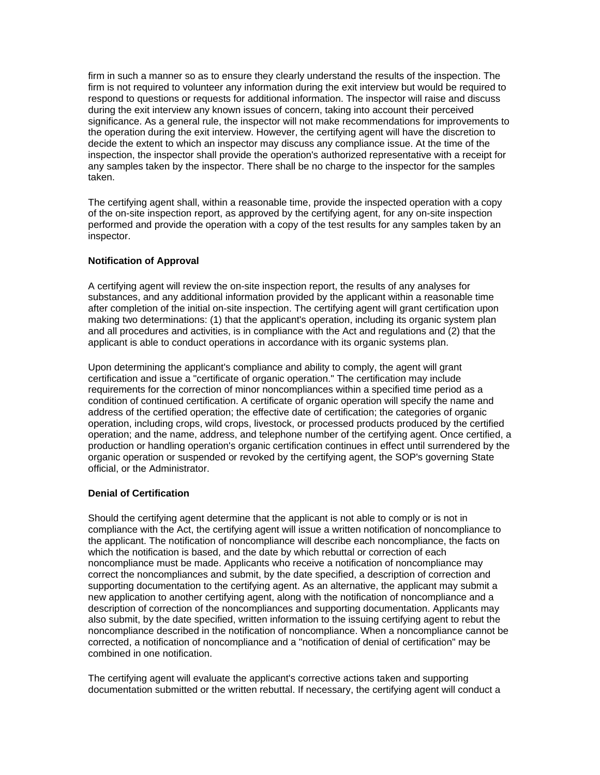firm in such a manner so as to ensure they clearly understand the results of the inspection. The firm is not required to volunteer any information during the exit interview but would be required to respond to questions or requests for additional information. The inspector will raise and discuss during the exit interview any known issues of concern, taking into account their perceived significance. As a general rule, the inspector will not make recommendations for improvements to the operation during the exit interview. However, the certifying agent will have the discretion to decide the extent to which an inspector may discuss any compliance issue. At the time of the inspection, the inspector shall provide the operation's authorized representative with a receipt for any samples taken by the inspector. There shall be no charge to the inspector for the samples taken.

The certifying agent shall, within a reasonable time, provide the inspected operation with a copy of the on-site inspection report, as approved by the certifying agent, for any on-site inspection performed and provide the operation with a copy of the test results for any samples taken by an inspector.

## **Notification of Approval**

A certifying agent will review the on-site inspection report, the results of any analyses for substances, and any additional information provided by the applicant within a reasonable time after completion of the initial on-site inspection. The certifying agent will grant certification upon making two determinations: (1) that the applicant's operation, including its organic system plan and all procedures and activities, is in compliance with the Act and regulations and (2) that the applicant is able to conduct operations in accordance with its organic systems plan.

Upon determining the applicant's compliance and ability to comply, the agent will grant certification and issue a "certificate of organic operation." The certification may include requirements for the correction of minor noncompliances within a specified time period as a condition of continued certification. A certificate of organic operation will specify the name and address of the certified operation; the effective date of certification; the categories of organic operation, including crops, wild crops, livestock, or processed products produced by the certified operation; and the name, address, and telephone number of the certifying agent. Once certified, a production or handling operation's organic certification continues in effect until surrendered by the organic operation or suspended or revoked by the certifying agent, the SOP's governing State official, or the Administrator.

# **Denial of Certification**

Should the certifying agent determine that the applicant is not able to comply or is not in compliance with the Act, the certifying agent will issue a written notification of noncompliance to the applicant. The notification of noncompliance will describe each noncompliance, the facts on which the notification is based, and the date by which rebuttal or correction of each noncompliance must be made. Applicants who receive a notification of noncompliance may correct the noncompliances and submit, by the date specified, a description of correction and supporting documentation to the certifying agent. As an alternative, the applicant may submit a new application to another certifying agent, along with the notification of noncompliance and a description of correction of the noncompliances and supporting documentation. Applicants may also submit, by the date specified, written information to the issuing certifying agent to rebut the noncompliance described in the notification of noncompliance. When a noncompliance cannot be corrected, a notification of noncompliance and a "notification of denial of certification" may be combined in one notification.

The certifying agent will evaluate the applicant's corrective actions taken and supporting documentation submitted or the written rebuttal. If necessary, the certifying agent will conduct a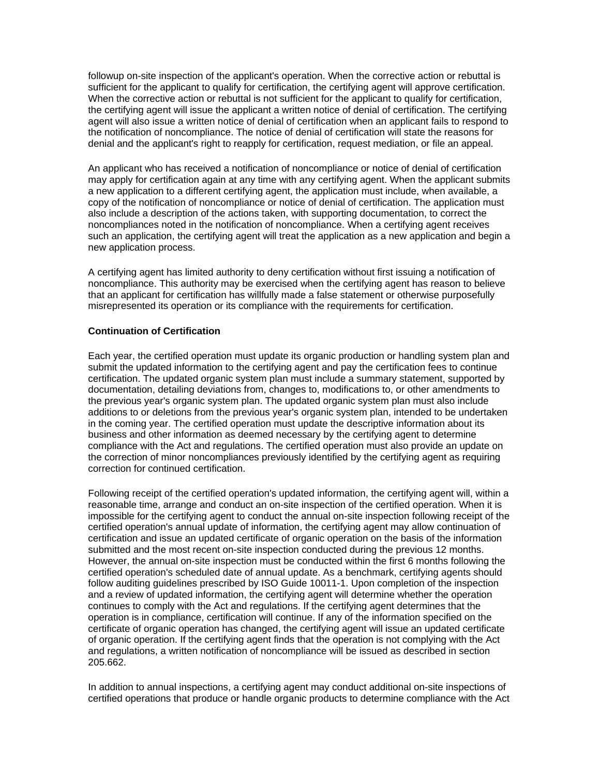followup on-site inspection of the applicant's operation. When the corrective action or rebuttal is sufficient for the applicant to qualify for certification, the certifying agent will approve certification. When the corrective action or rebuttal is not sufficient for the applicant to qualify for certification, the certifying agent will issue the applicant a written notice of denial of certification. The certifying agent will also issue a written notice of denial of certification when an applicant fails to respond to the notification of noncompliance. The notice of denial of certification will state the reasons for denial and the applicant's right to reapply for certification, request mediation, or file an appeal.

An applicant who has received a notification of noncompliance or notice of denial of certification may apply for certification again at any time with any certifying agent. When the applicant submits a new application to a different certifying agent, the application must include, when available, a copy of the notification of noncompliance or notice of denial of certification. The application must also include a description of the actions taken, with supporting documentation, to correct the noncompliances noted in the notification of noncompliance. When a certifying agent receives such an application, the certifying agent will treat the application as a new application and begin a new application process.

A certifying agent has limited authority to deny certification without first issuing a notification of noncompliance. This authority may be exercised when the certifying agent has reason to believe that an applicant for certification has willfully made a false statement or otherwise purposefully misrepresented its operation or its compliance with the requirements for certification.

## **Continuation of Certification**

Each year, the certified operation must update its organic production or handling system plan and submit the updated information to the certifying agent and pay the certification fees to continue certification. The updated organic system plan must include a summary statement, supported by documentation, detailing deviations from, changes to, modifications to, or other amendments to the previous year's organic system plan. The updated organic system plan must also include additions to or deletions from the previous year's organic system plan, intended to be undertaken in the coming year. The certified operation must update the descriptive information about its business and other information as deemed necessary by the certifying agent to determine compliance with the Act and regulations. The certified operation must also provide an update on the correction of minor noncompliances previously identified by the certifying agent as requiring correction for continued certification.

Following receipt of the certified operation's updated information, the certifying agent will, within a reasonable time, arrange and conduct an on-site inspection of the certified operation. When it is impossible for the certifying agent to conduct the annual on-site inspection following receipt of the certified operation's annual update of information, the certifying agent may allow continuation of certification and issue an updated certificate of organic operation on the basis of the information submitted and the most recent on-site inspection conducted during the previous 12 months. However, the annual on-site inspection must be conducted within the first 6 months following the certified operation's scheduled date of annual update. As a benchmark, certifying agents should follow auditing guidelines prescribed by ISO Guide 10011-1. Upon completion of the inspection and a review of updated information, the certifying agent will determine whether the operation continues to comply with the Act and regulations. If the certifying agent determines that the operation is in compliance, certification will continue. If any of the information specified on the certificate of organic operation has changed, the certifying agent will issue an updated certificate of organic operation. If the certifying agent finds that the operation is not complying with the Act and regulations, a written notification of noncompliance will be issued as described in section 205.662.

In addition to annual inspections, a certifying agent may conduct additional on-site inspections of certified operations that produce or handle organic products to determine compliance with the Act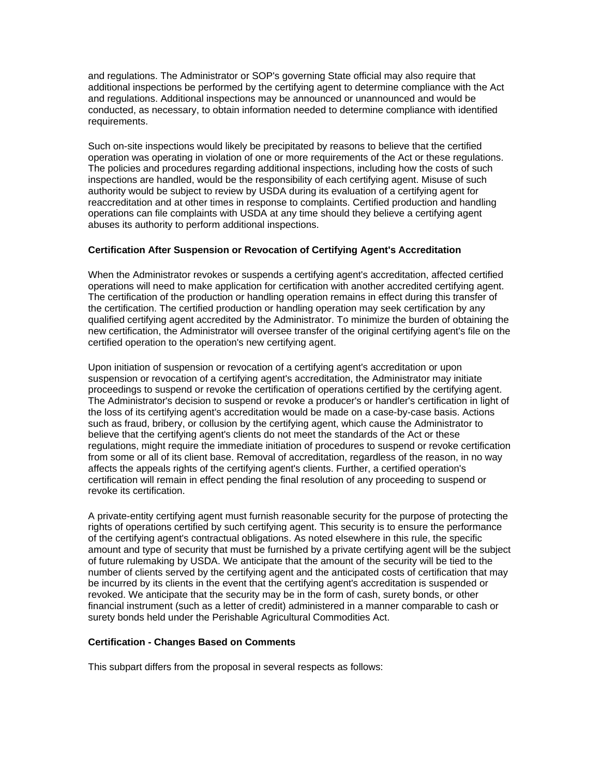and regulations. The Administrator or SOP's governing State official may also require that additional inspections be performed by the certifying agent to determine compliance with the Act and regulations. Additional inspections may be announced or unannounced and would be conducted, as necessary, to obtain information needed to determine compliance with identified requirements.

Such on-site inspections would likely be precipitated by reasons to believe that the certified operation was operating in violation of one or more requirements of the Act or these regulations. The policies and procedures regarding additional inspections, including how the costs of such inspections are handled, would be the responsibility of each certifying agent. Misuse of such authority would be subject to review by USDA during its evaluation of a certifying agent for reaccreditation and at other times in response to complaints. Certified production and handling operations can file complaints with USDA at any time should they believe a certifying agent abuses its authority to perform additional inspections.

## **Certification After Suspension or Revocation of Certifying Agent's Accreditation**

When the Administrator revokes or suspends a certifying agent's accreditation, affected certified operations will need to make application for certification with another accredited certifying agent. The certification of the production or handling operation remains in effect during this transfer of the certification. The certified production or handling operation may seek certification by any qualified certifying agent accredited by the Administrator. To minimize the burden of obtaining the new certification, the Administrator will oversee transfer of the original certifying agent's file on the certified operation to the operation's new certifying agent.

Upon initiation of suspension or revocation of a certifying agent's accreditation or upon suspension or revocation of a certifying agent's accreditation, the Administrator may initiate proceedings to suspend or revoke the certification of operations certified by the certifying agent. The Administrator's decision to suspend or revoke a producer's or handler's certification in light of the loss of its certifying agent's accreditation would be made on a case-by-case basis. Actions such as fraud, bribery, or collusion by the certifying agent, which cause the Administrator to believe that the certifying agent's clients do not meet the standards of the Act or these regulations, might require the immediate initiation of procedures to suspend or revoke certification from some or all of its client base. Removal of accreditation, regardless of the reason, in no way affects the appeals rights of the certifying agent's clients. Further, a certified operation's certification will remain in effect pending the final resolution of any proceeding to suspend or revoke its certification.

A private-entity certifying agent must furnish reasonable security for the purpose of protecting the rights of operations certified by such certifying agent. This security is to ensure the performance of the certifying agent's contractual obligations. As noted elsewhere in this rule, the specific amount and type of security that must be furnished by a private certifying agent will be the subject of future rulemaking by USDA. We anticipate that the amount of the security will be tied to the number of clients served by the certifying agent and the anticipated costs of certification that may be incurred by its clients in the event that the certifying agent's accreditation is suspended or revoked. We anticipate that the security may be in the form of cash, surety bonds, or other financial instrument (such as a letter of credit) administered in a manner comparable to cash or surety bonds held under the Perishable Agricultural Commodities Act.

## **Certification - Changes Based on Comments**

This subpart differs from the proposal in several respects as follows: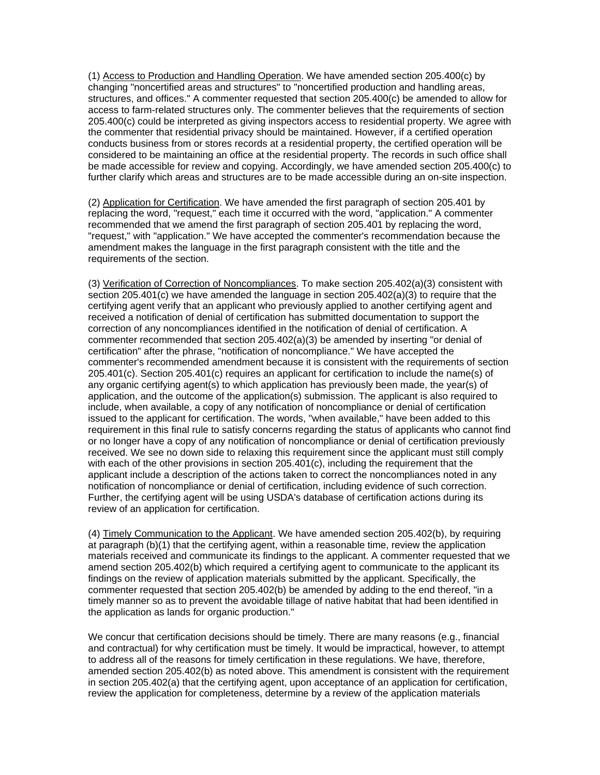(1) Access to Production and Handling Operation. We have amended section 205.400(c) by changing "noncertified areas and structures" to "noncertified production and handling areas, structures, and offices." A commenter requested that section 205.400(c) be amended to allow for access to farm-related structures only. The commenter believes that the requirements of section 205.400(c) could be interpreted as giving inspectors access to residential property. We agree with the commenter that residential privacy should be maintained. However, if a certified operation conducts business from or stores records at a residential property, the certified operation will be considered to be maintaining an office at the residential property. The records in such office shall be made accessible for review and copying. Accordingly, we have amended section 205.400(c) to further clarify which areas and structures are to be made accessible during an on-site inspection.

(2) Application for Certification. We have amended the first paragraph of section 205.401 by replacing the word, "request," each time it occurred with the word, "application." A commenter recommended that we amend the first paragraph of section 205.401 by replacing the word, "request," with "application." We have accepted the commenter's recommendation because the amendment makes the language in the first paragraph consistent with the title and the requirements of the section.

(3) Verification of Correction of Noncompliances. To make section 205.402(a)(3) consistent with section 205.401(c) we have amended the language in section 205.402(a)(3) to require that the certifying agent verify that an applicant who previously applied to another certifying agent and received a notification of denial of certification has submitted documentation to support the correction of any noncompliances identified in the notification of denial of certification. A commenter recommended that section 205.402(a)(3) be amended by inserting "or denial of certification" after the phrase, "notification of noncompliance." We have accepted the commenter's recommended amendment because it is consistent with the requirements of section 205.401(c). Section 205.401(c) requires an applicant for certification to include the name(s) of any organic certifying agent(s) to which application has previously been made, the year(s) of application, and the outcome of the application(s) submission. The applicant is also required to include, when available, a copy of any notification of noncompliance or denial of certification issued to the applicant for certification. The words, "when available," have been added to this requirement in this final rule to satisfy concerns regarding the status of applicants who cannot find or no longer have a copy of any notification of noncompliance or denial of certification previously received. We see no down side to relaxing this requirement since the applicant must still comply with each of the other provisions in section 205.401(c), including the requirement that the applicant include a description of the actions taken to correct the noncompliances noted in any notification of noncompliance or denial of certification, including evidence of such correction. Further, the certifying agent will be using USDA's database of certification actions during its review of an application for certification.

(4) Timely Communication to the Applicant. We have amended section 205.402(b), by requiring at paragraph (b)(1) that the certifying agent, within a reasonable time, review the application materials received and communicate its findings to the applicant. A commenter requested that we amend section 205.402(b) which required a certifying agent to communicate to the applicant its findings on the review of application materials submitted by the applicant. Specifically, the commenter requested that section 205.402(b) be amended by adding to the end thereof, "in a timely manner so as to prevent the avoidable tillage of native habitat that had been identified in the application as lands for organic production."

We concur that certification decisions should be timely. There are many reasons (e.g., financial and contractual) for why certification must be timely. It would be impractical, however, to attempt to address all of the reasons for timely certification in these regulations. We have, therefore, amended section 205.402(b) as noted above. This amendment is consistent with the requirement in section 205.402(a) that the certifying agent, upon acceptance of an application for certification, review the application for completeness, determine by a review of the application materials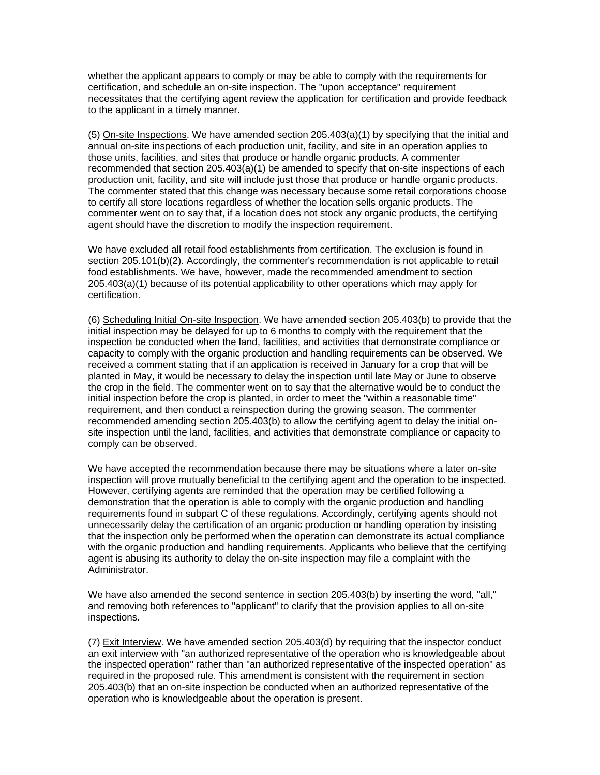whether the applicant appears to comply or may be able to comply with the requirements for certification, and schedule an on-site inspection. The "upon acceptance" requirement necessitates that the certifying agent review the application for certification and provide feedback to the applicant in a timely manner.

(5) On-site Inspections. We have amended section 205.403(a)(1) by specifying that the initial and annual on-site inspections of each production unit, facility, and site in an operation applies to those units, facilities, and sites that produce or handle organic products. A commenter recommended that section 205.403(a)(1) be amended to specify that on-site inspections of each production unit, facility, and site will include just those that produce or handle organic products. The commenter stated that this change was necessary because some retail corporations choose to certify all store locations regardless of whether the location sells organic products. The commenter went on to say that, if a location does not stock any organic products, the certifying agent should have the discretion to modify the inspection requirement.

We have excluded all retail food establishments from certification. The exclusion is found in section 205.101(b)(2). Accordingly, the commenter's recommendation is not applicable to retail food establishments. We have, however, made the recommended amendment to section 205.403(a)(1) because of its potential applicability to other operations which may apply for certification.

(6) Scheduling Initial On-site Inspection. We have amended section 205.403(b) to provide that the initial inspection may be delayed for up to 6 months to comply with the requirement that the inspection be conducted when the land, facilities, and activities that demonstrate compliance or capacity to comply with the organic production and handling requirements can be observed. We received a comment stating that if an application is received in January for a crop that will be planted in May, it would be necessary to delay the inspection until late May or June to observe the crop in the field. The commenter went on to say that the alternative would be to conduct the initial inspection before the crop is planted, in order to meet the "within a reasonable time" requirement, and then conduct a reinspection during the growing season. The commenter recommended amending section 205.403(b) to allow the certifying agent to delay the initial onsite inspection until the land, facilities, and activities that demonstrate compliance or capacity to comply can be observed.

We have accepted the recommendation because there may be situations where a later on-site inspection will prove mutually beneficial to the certifying agent and the operation to be inspected. However, certifying agents are reminded that the operation may be certified following a demonstration that the operation is able to comply with the organic production and handling requirements found in subpart C of these regulations. Accordingly, certifying agents should not unnecessarily delay the certification of an organic production or handling operation by insisting that the inspection only be performed when the operation can demonstrate its actual compliance with the organic production and handling requirements. Applicants who believe that the certifying agent is abusing its authority to delay the on-site inspection may file a complaint with the Administrator.

We have also amended the second sentence in section 205.403(b) by inserting the word, "all," and removing both references to "applicant" to clarify that the provision applies to all on-site inspections.

(7) Exit Interview. We have amended section 205.403(d) by requiring that the inspector conduct an exit interview with "an authorized representative of the operation who is knowledgeable about the inspected operation" rather than "an authorized representative of the inspected operation" as required in the proposed rule. This amendment is consistent with the requirement in section 205.403(b) that an on-site inspection be conducted when an authorized representative of the operation who is knowledgeable about the operation is present.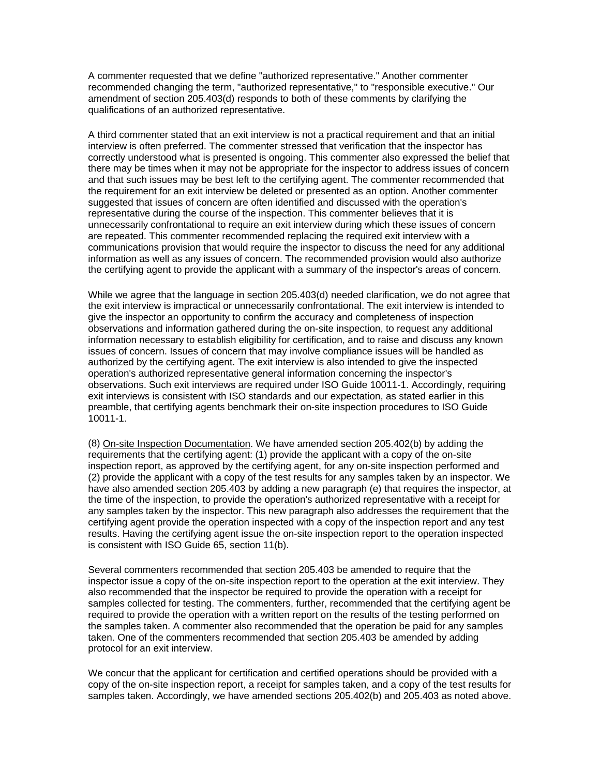A commenter requested that we define "authorized representative." Another commenter recommended changing the term, "authorized representative," to "responsible executive." Our amendment of section 205.403(d) responds to both of these comments by clarifying the qualifications of an authorized representative.

A third commenter stated that an exit interview is not a practical requirement and that an initial interview is often preferred. The commenter stressed that verification that the inspector has correctly understood what is presented is ongoing. This commenter also expressed the belief that there may be times when it may not be appropriate for the inspector to address issues of concern and that such issues may be best left to the certifying agent. The commenter recommended that the requirement for an exit interview be deleted or presented as an option. Another commenter suggested that issues of concern are often identified and discussed with the operation's representative during the course of the inspection. This commenter believes that it is unnecessarily confrontational to require an exit interview during which these issues of concern are repeated. This commenter recommended replacing the required exit interview with a communications provision that would require the inspector to discuss the need for any additional information as well as any issues of concern. The recommended provision would also authorize the certifying agent to provide the applicant with a summary of the inspector's areas of concern.

While we agree that the language in section 205.403(d) needed clarification, we do not agree that the exit interview is impractical or unnecessarily confrontational. The exit interview is intended to give the inspector an opportunity to confirm the accuracy and completeness of inspection observations and information gathered during the on-site inspection, to request any additional information necessary to establish eligibility for certification, and to raise and discuss any known issues of concern. Issues of concern that may involve compliance issues will be handled as authorized by the certifying agent. The exit interview is also intended to give the inspected operation's authorized representative general information concerning the inspector's observations. Such exit interviews are required under ISO Guide 10011-1. Accordingly, requiring exit interviews is consistent with ISO standards and our expectation, as stated earlier in this preamble, that certifying agents benchmark their on-site inspection procedures to ISO Guide 10011-1.

(8) On-site Inspection Documentation. We have amended section 205.402(b) by adding the requirements that the certifying agent: (1) provide the applicant with a copy of the on-site inspection report, as approved by the certifying agent, for any on-site inspection performed and (2) provide the applicant with a copy of the test results for any samples taken by an inspector. We have also amended section 205.403 by adding a new paragraph (e) that requires the inspector, at the time of the inspection, to provide the operation's authorized representative with a receipt for any samples taken by the inspector. This new paragraph also addresses the requirement that the certifying agent provide the operation inspected with a copy of the inspection report and any test results. Having the certifying agent issue the on-site inspection report to the operation inspected is consistent with ISO Guide 65, section 11(b).

Several commenters recommended that section 205.403 be amended to require that the inspector issue a copy of the on-site inspection report to the operation at the exit interview. They also recommended that the inspector be required to provide the operation with a receipt for samples collected for testing. The commenters, further, recommended that the certifying agent be required to provide the operation with a written report on the results of the testing performed on the samples taken. A commenter also recommended that the operation be paid for any samples taken. One of the commenters recommended that section 205.403 be amended by adding protocol for an exit interview.

We concur that the applicant for certification and certified operations should be provided with a copy of the on-site inspection report, a receipt for samples taken, and a copy of the test results for samples taken. Accordingly, we have amended sections 205.402(b) and 205.403 as noted above.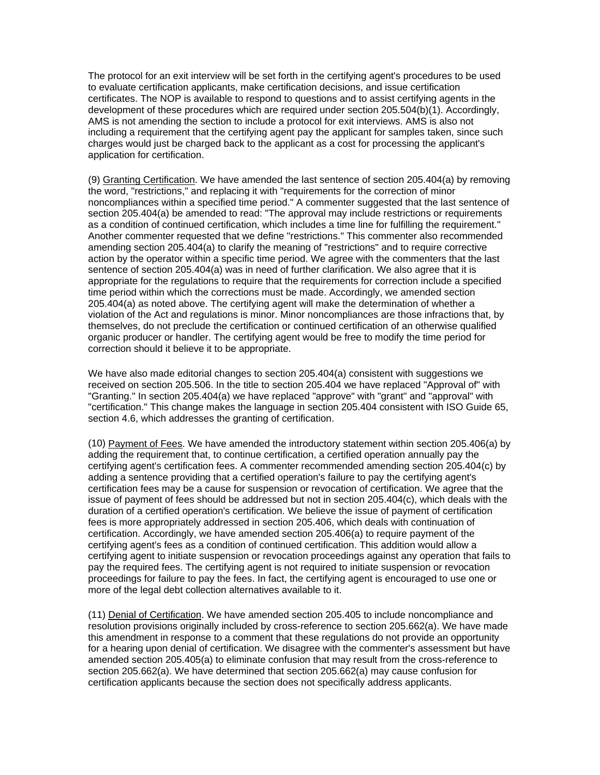The protocol for an exit interview will be set forth in the certifying agent's procedures to be used to evaluate certification applicants, make certification decisions, and issue certification certificates. The NOP is available to respond to questions and to assist certifying agents in the development of these procedures which are required under section 205.504(b)(1). Accordingly, AMS is not amending the section to include a protocol for exit interviews. AMS is also not including a requirement that the certifying agent pay the applicant for samples taken, since such charges would just be charged back to the applicant as a cost for processing the applicant's application for certification.

(9) Granting Certification. We have amended the last sentence of section 205.404(a) by removing the word, "restrictions," and replacing it with "requirements for the correction of minor noncompliances within a specified time period." A commenter suggested that the last sentence of section 205.404(a) be amended to read: "The approval may include restrictions or requirements as a condition of continued certification, which includes a time line for fulfilling the requirement." Another commenter requested that we define "restrictions." This commenter also recommended amending section 205.404(a) to clarify the meaning of "restrictions" and to require corrective action by the operator within a specific time period. We agree with the commenters that the last sentence of section 205.404(a) was in need of further clarification. We also agree that it is appropriate for the regulations to require that the requirements for correction include a specified time period within which the corrections must be made. Accordingly, we amended section 205.404(a) as noted above. The certifying agent will make the determination of whether a violation of the Act and regulations is minor. Minor noncompliances are those infractions that, by themselves, do not preclude the certification or continued certification of an otherwise qualified organic producer or handler. The certifying agent would be free to modify the time period for correction should it believe it to be appropriate.

We have also made editorial changes to section 205.404(a) consistent with suggestions we received on section 205.506. In the title to section 205.404 we have replaced "Approval of" with "Granting." In section 205.404(a) we have replaced "approve" with "grant" and "approval" with "certification." This change makes the language in section 205.404 consistent with ISO Guide 65, section 4.6, which addresses the granting of certification.

(10) Payment of Fees. We have amended the introductory statement within section 205.406(a) by adding the requirement that, to continue certification, a certified operation annually pay the certifying agent's certification fees. A commenter recommended amending section 205.404(c) by adding a sentence providing that a certified operation's failure to pay the certifying agent's certification fees may be a cause for suspension or revocation of certification. We agree that the issue of payment of fees should be addressed but not in section 205.404(c), which deals with the duration of a certified operation's certification. We believe the issue of payment of certification fees is more appropriately addressed in section 205.406, which deals with continuation of certification. Accordingly, we have amended section 205.406(a) to require payment of the certifying agent's fees as a condition of continued certification. This addition would allow a certifying agent to initiate suspension or revocation proceedings against any operation that fails to pay the required fees. The certifying agent is not required to initiate suspension or revocation proceedings for failure to pay the fees. In fact, the certifying agent is encouraged to use one or more of the legal debt collection alternatives available to it.

(11) Denial of Certification. We have amended section 205.405 to include noncompliance and resolution provisions originally included by cross-reference to section 205.662(a). We have made this amendment in response to a comment that these regulations do not provide an opportunity for a hearing upon denial of certification. We disagree with the commenter's assessment but have amended section 205.405(a) to eliminate confusion that may result from the cross-reference to section 205.662(a). We have determined that section 205.662(a) may cause confusion for certification applicants because the section does not specifically address applicants.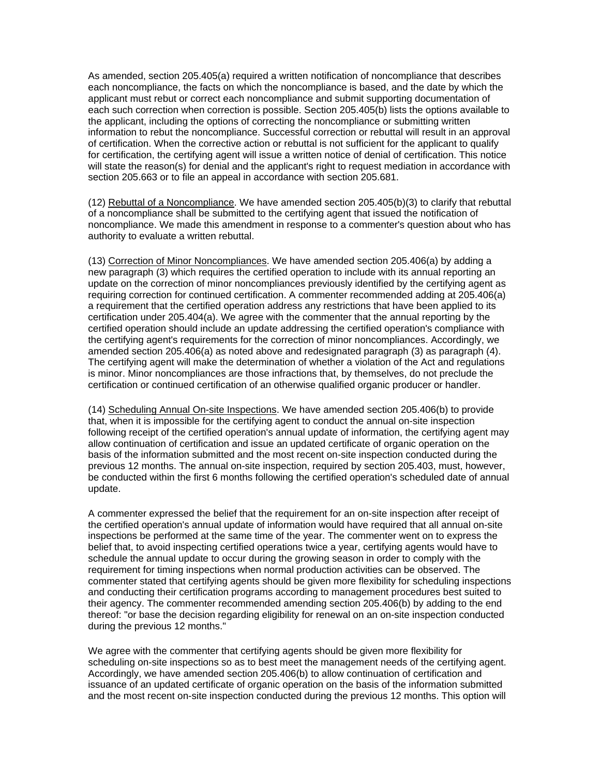As amended, section 205.405(a) required a written notification of noncompliance that describes each noncompliance, the facts on which the noncompliance is based, and the date by which the applicant must rebut or correct each noncompliance and submit supporting documentation of each such correction when correction is possible. Section 205.405(b) lists the options available to the applicant, including the options of correcting the noncompliance or submitting written information to rebut the noncompliance. Successful correction or rebuttal will result in an approval of certification. When the corrective action or rebuttal is not sufficient for the applicant to qualify for certification, the certifying agent will issue a written notice of denial of certification. This notice will state the reason(s) for denial and the applicant's right to request mediation in accordance with section 205.663 or to file an appeal in accordance with section 205.681.

(12) Rebuttal of a Noncompliance. We have amended section 205.405(b)(3) to clarify that rebuttal of a noncompliance shall be submitted to the certifying agent that issued the notification of noncompliance. We made this amendment in response to a commenter's question about who has authority to evaluate a written rebuttal.

(13) Correction of Minor Noncompliances. We have amended section 205.406(a) by adding a new paragraph (3) which requires the certified operation to include with its annual reporting an update on the correction of minor noncompliances previously identified by the certifying agent as requiring correction for continued certification. A commenter recommended adding at 205.406(a) a requirement that the certified operation address any restrictions that have been applied to its certification under 205.404(a). We agree with the commenter that the annual reporting by the certified operation should include an update addressing the certified operation's compliance with the certifying agent's requirements for the correction of minor noncompliances. Accordingly, we amended section 205.406(a) as noted above and redesignated paragraph (3) as paragraph (4). The certifying agent will make the determination of whether a violation of the Act and regulations is minor. Minor noncompliances are those infractions that, by themselves, do not preclude the certification or continued certification of an otherwise qualified organic producer or handler.

(14) Scheduling Annual On-site Inspections. We have amended section 205.406(b) to provide that, when it is impossible for the certifying agent to conduct the annual on-site inspection following receipt of the certified operation's annual update of information, the certifying agent may allow continuation of certification and issue an updated certificate of organic operation on the basis of the information submitted and the most recent on-site inspection conducted during the previous 12 months. The annual on-site inspection, required by section 205.403, must, however, be conducted within the first 6 months following the certified operation's scheduled date of annual update.

A commenter expressed the belief that the requirement for an on-site inspection after receipt of the certified operation's annual update of information would have required that all annual on-site inspections be performed at the same time of the year. The commenter went on to express the belief that, to avoid inspecting certified operations twice a year, certifying agents would have to schedule the annual update to occur during the growing season in order to comply with the requirement for timing inspections when normal production activities can be observed. The commenter stated that certifying agents should be given more flexibility for scheduling inspections and conducting their certification programs according to management procedures best suited to their agency. The commenter recommended amending section 205.406(b) by adding to the end thereof: "or base the decision regarding eligibility for renewal on an on-site inspection conducted during the previous 12 months."

We agree with the commenter that certifying agents should be given more flexibility for scheduling on-site inspections so as to best meet the management needs of the certifying agent. Accordingly, we have amended section 205.406(b) to allow continuation of certification and issuance of an updated certificate of organic operation on the basis of the information submitted and the most recent on-site inspection conducted during the previous 12 months. This option will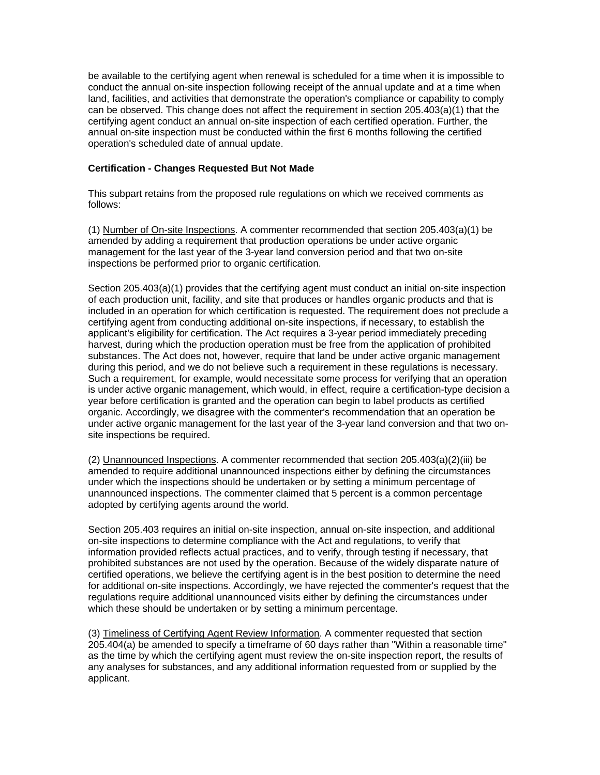be available to the certifying agent when renewal is scheduled for a time when it is impossible to conduct the annual on-site inspection following receipt of the annual update and at a time when land, facilities, and activities that demonstrate the operation's compliance or capability to comply can be observed. This change does not affect the requirement in section 205.403(a)(1) that the certifying agent conduct an annual on-site inspection of each certified operation. Further, the annual on-site inspection must be conducted within the first 6 months following the certified operation's scheduled date of annual update.

## **Certification - Changes Requested But Not Made**

This subpart retains from the proposed rule regulations on which we received comments as follows:

(1) Number of On-site Inspections. A commenter recommended that section 205.403(a)(1) be amended by adding a requirement that production operations be under active organic management for the last year of the 3-year land conversion period and that two on-site inspections be performed prior to organic certification.

Section 205.403(a)(1) provides that the certifying agent must conduct an initial on-site inspection of each production unit, facility, and site that produces or handles organic products and that is included in an operation for which certification is requested. The requirement does not preclude a certifying agent from conducting additional on-site inspections, if necessary, to establish the applicant's eligibility for certification. The Act requires a 3-year period immediately preceding harvest, during which the production operation must be free from the application of prohibited substances. The Act does not, however, require that land be under active organic management during this period, and we do not believe such a requirement in these regulations is necessary. Such a requirement, for example, would necessitate some process for verifying that an operation is under active organic management, which would, in effect, require a certification-type decision a year before certification is granted and the operation can begin to label products as certified organic. Accordingly, we disagree with the commenter's recommendation that an operation be under active organic management for the last year of the 3-year land conversion and that two onsite inspections be required.

(2) Unannounced Inspections. A commenter recommended that section 205.403(a)(2)(iii) be amended to require additional unannounced inspections either by defining the circumstances under which the inspections should be undertaken or by setting a minimum percentage of unannounced inspections. The commenter claimed that 5 percent is a common percentage adopted by certifying agents around the world.

Section 205.403 requires an initial on-site inspection, annual on-site inspection, and additional on-site inspections to determine compliance with the Act and regulations, to verify that information provided reflects actual practices, and to verify, through testing if necessary, that prohibited substances are not used by the operation. Because of the widely disparate nature of certified operations, we believe the certifying agent is in the best position to determine the need for additional on-site inspections. Accordingly, we have rejected the commenter's request that the regulations require additional unannounced visits either by defining the circumstances under which these should be undertaken or by setting a minimum percentage.

(3) Timeliness of Certifying Agent Review Information. A commenter requested that section 205.404(a) be amended to specify a timeframe of 60 days rather than "Within a reasonable time" as the time by which the certifying agent must review the on-site inspection report, the results of any analyses for substances, and any additional information requested from or supplied by the applicant.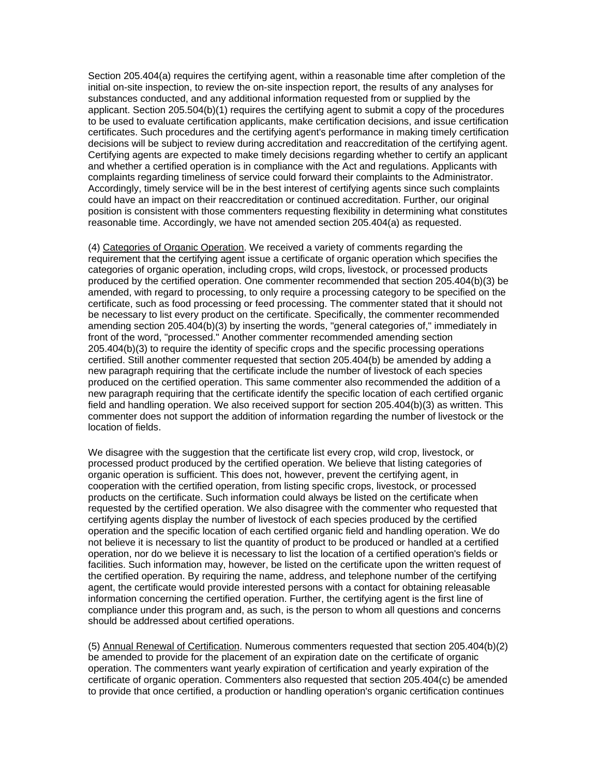Section 205.404(a) requires the certifying agent, within a reasonable time after completion of the initial on-site inspection, to review the on-site inspection report, the results of any analyses for substances conducted, and any additional information requested from or supplied by the applicant. Section 205.504(b)(1) requires the certifying agent to submit a copy of the procedures to be used to evaluate certification applicants, make certification decisions, and issue certification certificates. Such procedures and the certifying agent's performance in making timely certification decisions will be subject to review during accreditation and reaccreditation of the certifying agent. Certifying agents are expected to make timely decisions regarding whether to certify an applicant and whether a certified operation is in compliance with the Act and regulations. Applicants with complaints regarding timeliness of service could forward their complaints to the Administrator. Accordingly, timely service will be in the best interest of certifying agents since such complaints could have an impact on their reaccreditation or continued accreditation. Further, our original position is consistent with those commenters requesting flexibility in determining what constitutes reasonable time. Accordingly, we have not amended section 205.404(a) as requested.

(4) Categories of Organic Operation. We received a variety of comments regarding the requirement that the certifying agent issue a certificate of organic operation which specifies the categories of organic operation, including crops, wild crops, livestock, or processed products produced by the certified operation. One commenter recommended that section 205.404(b)(3) be amended, with regard to processing, to only require a processing category to be specified on the certificate, such as food processing or feed processing. The commenter stated that it should not be necessary to list every product on the certificate. Specifically, the commenter recommended amending section 205.404(b)(3) by inserting the words, "general categories of," immediately in front of the word, "processed." Another commenter recommended amending section 205.404(b)(3) to require the identity of specific crops and the specific processing operations certified. Still another commenter requested that section 205.404(b) be amended by adding a new paragraph requiring that the certificate include the number of livestock of each species produced on the certified operation. This same commenter also recommended the addition of a new paragraph requiring that the certificate identify the specific location of each certified organic field and handling operation. We also received support for section 205.404(b)(3) as written. This commenter does not support the addition of information regarding the number of livestock or the location of fields.

We disagree with the suggestion that the certificate list every crop, wild crop, livestock, or processed product produced by the certified operation. We believe that listing categories of organic operation is sufficient. This does not, however, prevent the certifying agent, in cooperation with the certified operation, from listing specific crops, livestock, or processed products on the certificate. Such information could always be listed on the certificate when requested by the certified operation. We also disagree with the commenter who requested that certifying agents display the number of livestock of each species produced by the certified operation and the specific location of each certified organic field and handling operation. We do not believe it is necessary to list the quantity of product to be produced or handled at a certified operation, nor do we believe it is necessary to list the location of a certified operation's fields or facilities. Such information may, however, be listed on the certificate upon the written request of the certified operation. By requiring the name, address, and telephone number of the certifying agent, the certificate would provide interested persons with a contact for obtaining releasable information concerning the certified operation. Further, the certifying agent is the first line of compliance under this program and, as such, is the person to whom all questions and concerns should be addressed about certified operations.

(5) Annual Renewal of Certification. Numerous commenters requested that section 205.404(b)(2) be amended to provide for the placement of an expiration date on the certificate of organic operation. The commenters want yearly expiration of certification and yearly expiration of the certificate of organic operation. Commenters also requested that section 205.404(c) be amended to provide that once certified, a production or handling operation's organic certification continues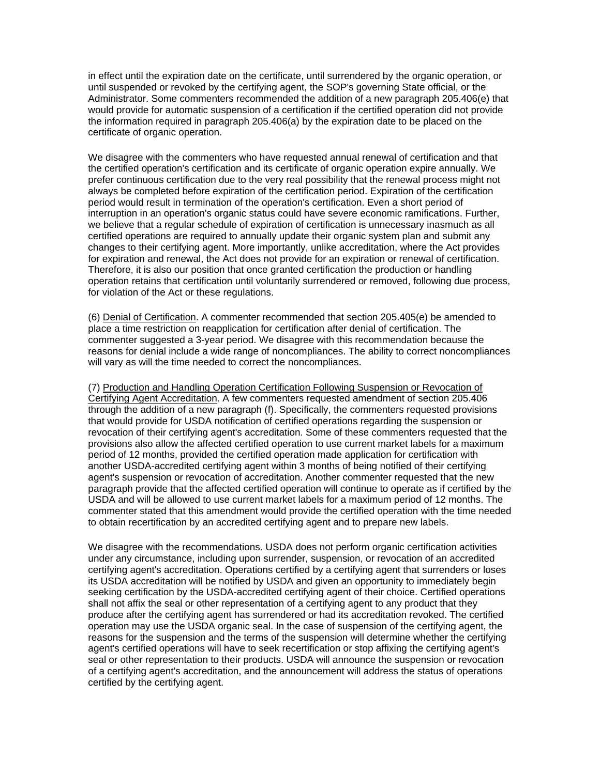in effect until the expiration date on the certificate, until surrendered by the organic operation, or until suspended or revoked by the certifying agent, the SOP's governing State official, or the Administrator. Some commenters recommended the addition of a new paragraph 205.406(e) that would provide for automatic suspension of a certification if the certified operation did not provide the information required in paragraph 205.406(a) by the expiration date to be placed on the certificate of organic operation.

We disagree with the commenters who have requested annual renewal of certification and that the certified operation's certification and its certificate of organic operation expire annually. We prefer continuous certification due to the very real possibility that the renewal process might not always be completed before expiration of the certification period. Expiration of the certification period would result in termination of the operation's certification. Even a short period of interruption in an operation's organic status could have severe economic ramifications. Further, we believe that a regular schedule of expiration of certification is unnecessary inasmuch as all certified operations are required to annually update their organic system plan and submit any changes to their certifying agent. More importantly, unlike accreditation, where the Act provides for expiration and renewal, the Act does not provide for an expiration or renewal of certification. Therefore, it is also our position that once granted certification the production or handling operation retains that certification until voluntarily surrendered or removed, following due process, for violation of the Act or these regulations.

(6) Denial of Certification. A commenter recommended that section 205.405(e) be amended to place a time restriction on reapplication for certification after denial of certification. The commenter suggested a 3-year period. We disagree with this recommendation because the reasons for denial include a wide range of noncompliances. The ability to correct noncompliances will vary as will the time needed to correct the noncompliances.

(7) Production and Handling Operation Certification Following Suspension or Revocation of Certifying Agent Accreditation. A few commenters requested amendment of section 205.406 through the addition of a new paragraph (f). Specifically, the commenters requested provisions that would provide for USDA notification of certified operations regarding the suspension or revocation of their certifying agent's accreditation. Some of these commenters requested that the provisions also allow the affected certified operation to use current market labels for a maximum period of 12 months, provided the certified operation made application for certification with another USDA-accredited certifying agent within 3 months of being notified of their certifying agent's suspension or revocation of accreditation. Another commenter requested that the new paragraph provide that the affected certified operation will continue to operate as if certified by the USDA and will be allowed to use current market labels for a maximum period of 12 months. The commenter stated that this amendment would provide the certified operation with the time needed to obtain recertification by an accredited certifying agent and to prepare new labels.

We disagree with the recommendations. USDA does not perform organic certification activities under any circumstance, including upon surrender, suspension, or revocation of an accredited certifying agent's accreditation. Operations certified by a certifying agent that surrenders or loses its USDA accreditation will be notified by USDA and given an opportunity to immediately begin seeking certification by the USDA-accredited certifying agent of their choice. Certified operations shall not affix the seal or other representation of a certifying agent to any product that they produce after the certifying agent has surrendered or had its accreditation revoked. The certified operation may use the USDA organic seal. In the case of suspension of the certifying agent, the reasons for the suspension and the terms of the suspension will determine whether the certifying agent's certified operations will have to seek recertification or stop affixing the certifying agent's seal or other representation to their products. USDA will announce the suspension or revocation of a certifying agent's accreditation, and the announcement will address the status of operations certified by the certifying agent.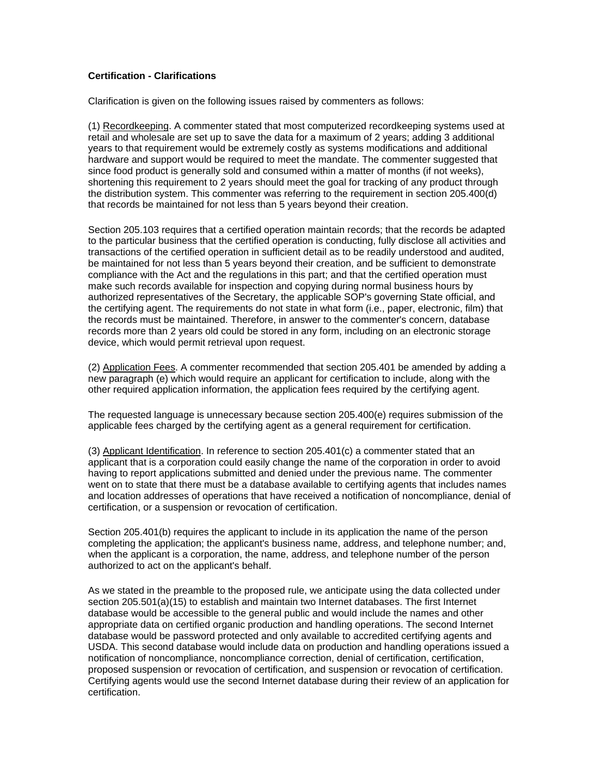# **Certification - Clarifications**

Clarification is given on the following issues raised by commenters as follows:

(1) Recordkeeping. A commenter stated that most computerized recordkeeping systems used at retail and wholesale are set up to save the data for a maximum of 2 years; adding 3 additional years to that requirement would be extremely costly as systems modifications and additional hardware and support would be required to meet the mandate. The commenter suggested that since food product is generally sold and consumed within a matter of months (if not weeks), shortening this requirement to 2 years should meet the goal for tracking of any product through the distribution system. This commenter was referring to the requirement in section 205.400(d) that records be maintained for not less than 5 years beyond their creation.

Section 205.103 requires that a certified operation maintain records; that the records be adapted to the particular business that the certified operation is conducting, fully disclose all activities and transactions of the certified operation in sufficient detail as to be readily understood and audited, be maintained for not less than 5 years beyond their creation, and be sufficient to demonstrate compliance with the Act and the regulations in this part; and that the certified operation must make such records available for inspection and copying during normal business hours by authorized representatives of the Secretary, the applicable SOP's governing State official, and the certifying agent. The requirements do not state in what form (i.e., paper, electronic, film) that the records must be maintained. Therefore, in answer to the commenter's concern, database records more than 2 years old could be stored in any form, including on an electronic storage device, which would permit retrieval upon request.

(2) Application Fees. A commenter recommended that section 205.401 be amended by adding a new paragraph (e) which would require an applicant for certification to include, along with the other required application information, the application fees required by the certifying agent.

The requested language is unnecessary because section 205.400(e) requires submission of the applicable fees charged by the certifying agent as a general requirement for certification.

(3) Applicant Identification. In reference to section 205.401(c) a commenter stated that an applicant that is a corporation could easily change the name of the corporation in order to avoid having to report applications submitted and denied under the previous name. The commenter went on to state that there must be a database available to certifying agents that includes names and location addresses of operations that have received a notification of noncompliance, denial of certification, or a suspension or revocation of certification.

Section 205.401(b) requires the applicant to include in its application the name of the person completing the application; the applicant's business name, address, and telephone number; and, when the applicant is a corporation, the name, address, and telephone number of the person authorized to act on the applicant's behalf.

As we stated in the preamble to the proposed rule, we anticipate using the data collected under section 205.501(a)(15) to establish and maintain two Internet databases. The first Internet database would be accessible to the general public and would include the names and other appropriate data on certified organic production and handling operations. The second Internet database would be password protected and only available to accredited certifying agents and USDA. This second database would include data on production and handling operations issued a notification of noncompliance, noncompliance correction, denial of certification, certification, proposed suspension or revocation of certification, and suspension or revocation of certification. Certifying agents would use the second Internet database during their review of an application for certification.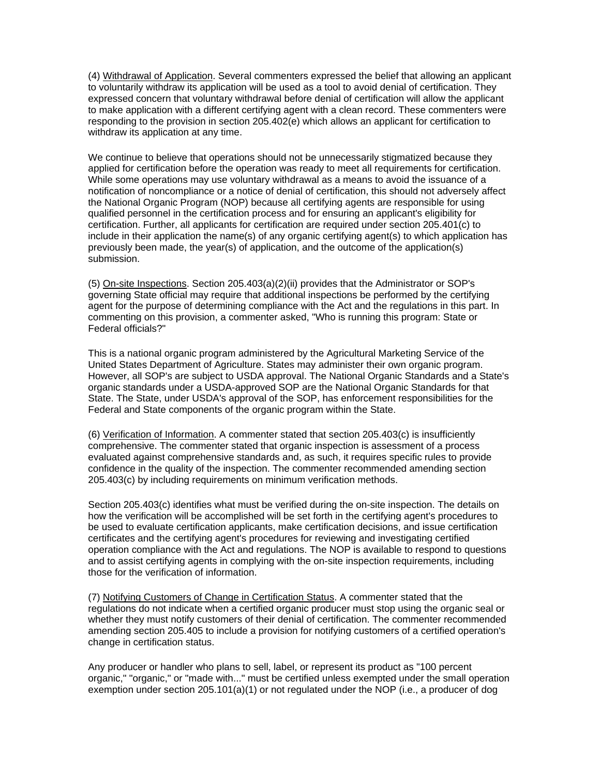(4) Withdrawal of Application. Several commenters expressed the belief that allowing an applicant to voluntarily withdraw its application will be used as a tool to avoid denial of certification. They expressed concern that voluntary withdrawal before denial of certification will allow the applicant to make application with a different certifying agent with a clean record. These commenters were responding to the provision in section 205.402(e) which allows an applicant for certification to withdraw its application at any time.

We continue to believe that operations should not be unnecessarily stigmatized because they applied for certification before the operation was ready to meet all requirements for certification. While some operations may use voluntary withdrawal as a means to avoid the issuance of a notification of noncompliance or a notice of denial of certification, this should not adversely affect the National Organic Program (NOP) because all certifying agents are responsible for using qualified personnel in the certification process and for ensuring an applicant's eligibility for certification. Further, all applicants for certification are required under section 205.401(c) to include in their application the name(s) of any organic certifying agent(s) to which application has previously been made, the year(s) of application, and the outcome of the application(s) submission.

(5) On-site Inspections. Section 205.403(a)(2)(ii) provides that the Administrator or SOP's governing State official may require that additional inspections be performed by the certifying agent for the purpose of determining compliance with the Act and the regulations in this part. In commenting on this provision, a commenter asked, "Who is running this program: State or Federal officials?"

This is a national organic program administered by the Agricultural Marketing Service of the United States Department of Agriculture. States may administer their own organic program. However, all SOP's are subject to USDA approval. The National Organic Standards and a State's organic standards under a USDA-approved SOP are the National Organic Standards for that State. The State, under USDA's approval of the SOP, has enforcement responsibilities for the Federal and State components of the organic program within the State.

(6) Verification of Information. A commenter stated that section 205.403(c) is insufficiently comprehensive. The commenter stated that organic inspection is assessment of a process evaluated against comprehensive standards and, as such, it requires specific rules to provide confidence in the quality of the inspection. The commenter recommended amending section 205.403(c) by including requirements on minimum verification methods.

Section 205.403(c) identifies what must be verified during the on-site inspection. The details on how the verification will be accomplished will be set forth in the certifying agent's procedures to be used to evaluate certification applicants, make certification decisions, and issue certification certificates and the certifying agent's procedures for reviewing and investigating certified operation compliance with the Act and regulations. The NOP is available to respond to questions and to assist certifying agents in complying with the on-site inspection requirements, including those for the verification of information.

(7) Notifying Customers of Change in Certification Status. A commenter stated that the regulations do not indicate when a certified organic producer must stop using the organic seal or whether they must notify customers of their denial of certification. The commenter recommended amending section 205.405 to include a provision for notifying customers of a certified operation's change in certification status.

Any producer or handler who plans to sell, label, or represent its product as "100 percent organic," "organic," or "made with..." must be certified unless exempted under the small operation exemption under section 205.101(a)(1) or not regulated under the NOP (i.e., a producer of dog